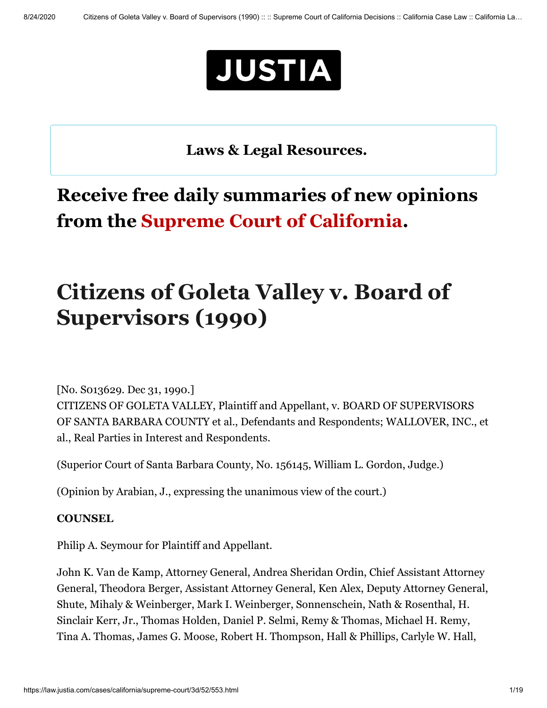

**[Laws & Legal Resources.](https://www.justia.com/covid-19/)** L \_j

# **Receive free daily summaries of new opinions from the Supreme Court of California.**

# **Citizens of Goleta Valley v. Board of Supervisors (1990)**

[No. S013629. Dec 31, 1990.]

CITIZENS OF GOLETA VALLEY, Plaintiff and Appellant, v. BOARD OF SUPERVISORS OF SANTA BARBARA COUNTY et al., Defendants and Respondents; WALLOVER, INC., et al., Real Parties in Interest and Respondents.

(Superior Court of Santa Barbara County, No. 156145, William L. Gordon, Judge.)

(Opinion by Arabian, J., expressing the unanimous view of the court.)

#### **COUNSEL**

Philip A. Seymour for Plaintiff and Appellant.

John K. Van de Kamp, Attorney General, Andrea Sheridan Ordin, Chief Assistant Attorney General, Theodora Berger, Assistant Attorney General, Ken Alex, Deputy Attorney General, Shute, Mihaly & Weinberger, Mark I. Weinberger, Sonnenschein, Nath & Rosenthal, H. Sinclair Kerr, Jr., Thomas Holden, Daniel P. Selmi, Remy & Thomas, Michael H. Remy, Tina A. Thomas, James G. Moose, Robert H. Thompson, Hall & Phillips, Carlyle W. Hall,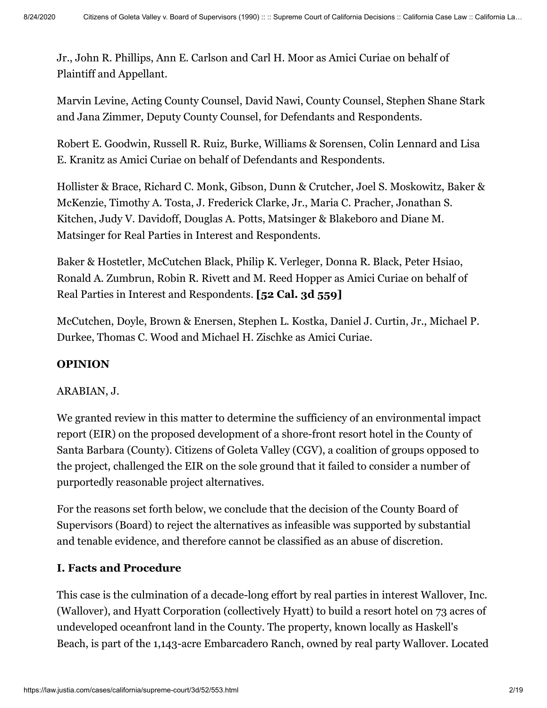Jr., John R. Phillips, Ann E. Carlson and Carl H. Moor as Amici Curiae on behalf of Plaintiff and Appellant.

Marvin Levine, Acting County Counsel, David Nawi, County Counsel, Stephen Shane Stark and Jana Zimmer, Deputy County Counsel, for Defendants and Respondents.

Robert E. Goodwin, Russell R. Ruiz, Burke, Williams & Sorensen, Colin Lennard and Lisa E. Kranitz as Amici Curiae on behalf of Defendants and Respondents.

Hollister & Brace, Richard C. Monk, Gibson, Dunn & Crutcher, Joel S. Moskowitz, Baker & McKenzie, Timothy A. Tosta, J. Frederick Clarke, Jr., Maria C. Pracher, Jonathan S. Kitchen, Judy V. Davidoff, Douglas A. Potts, Matsinger & Blakeboro and Diane M. Matsinger for Real Parties in Interest and Respondents.

Baker & Hostetler, McCutchen Black, Philip K. Verleger, Donna R. Black, Peter Hsiao, Ronald A. Zumbrun, Robin R. Rivett and M. Reed Hopper as Amici Curiae on behalf of Real Parties in Interest and Respondents. **[52 Cal. 3d 559]**

McCutchen, Doyle, Brown & Enersen, Stephen L. Kostka, Daniel J. Curtin, Jr., Michael P. Durkee, Thomas C. Wood and Michael H. Zischke as Amici Curiae.

# **OPINION**

#### ARABIAN, J.

We granted review in this matter to determine the sufficiency of an environmental impact report (EIR) on the proposed development of a shore-front resort hotel in the County of Santa Barbara (County). Citizens of Goleta Valley (CGV), a coalition of groups opposed to the project, challenged the EIR on the sole ground that it failed to consider a number of purportedly reasonable project alternatives.

For the reasons set forth below, we conclude that the decision of the County Board of Supervisors (Board) to reject the alternatives as infeasible was supported by substantial and tenable evidence, and therefore cannot be classified as an abuse of discretion.

# **I. Facts and Procedure**

This case is the culmination of a decade-long effort by real parties in interest Wallover, Inc. (Wallover), and Hyatt Corporation (collectively Hyatt) to build a resort hotel on 73 acres of undeveloped oceanfront land in the County. The property, known locally as Haskell's Beach, is part of the 1,143-acre Embarcadero Ranch, owned by real party Wallover. Located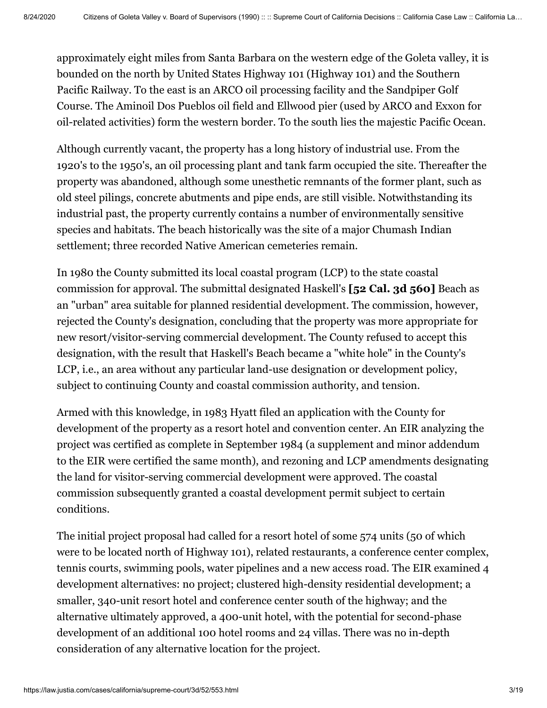approximately eight miles from Santa Barbara on the western edge of the Goleta valley, it is bounded on the north by United States Highway 101 (Highway 101) and the Southern Pacific Railway. To the east is an ARCO oil processing facility and the Sandpiper Golf Course. The Aminoil Dos Pueblos oil field and Ellwood pier (used by ARCO and Exxon for oil-related activities) form the western border. To the south lies the majestic Pacific Ocean.

Although currently vacant, the property has a long history of industrial use. From the 1920's to the 1950's, an oil processing plant and tank farm occupied the site. Thereafter the property was abandoned, although some unesthetic remnants of the former plant, such as old steel pilings, concrete abutments and pipe ends, are still visible. Notwithstanding its industrial past, the property currently contains a number of environmentally sensitive species and habitats. The beach historically was the site of a major Chumash Indian settlement; three recorded Native American cemeteries remain.

In 1980 the County submitted its local coastal program (LCP) to the state coastal commission for approval. The submittal designated Haskell's **[52 Cal. 3d 560]** Beach as an "urban" area suitable for planned residential development. The commission, however, rejected the County's designation, concluding that the property was more appropriate for new resort/visitor-serving commercial development. The County refused to accept this designation, with the result that Haskell's Beach became a "white hole" in the County's LCP, i.e., an area without any particular land-use designation or development policy, subject to continuing County and coastal commission authority, and tension.

Armed with this knowledge, in 1983 Hyatt filed an application with the County for development of the property as a resort hotel and convention center. An EIR analyzing the project was certified as complete in September 1984 (a supplement and minor addendum to the EIR were certified the same month), and rezoning and LCP amendments designating the land for visitor-serving commercial development were approved. The coastal commission subsequently granted a coastal development permit subject to certain conditions.

The initial project proposal had called for a resort hotel of some 574 units (50 of which were to be located north of Highway 101), related restaurants, a conference center complex, tennis courts, swimming pools, water pipelines and a new access road. The EIR examined 4 development alternatives: no project; clustered high-density residential development; a smaller, 340-unit resort hotel and conference center south of the highway; and the alternative ultimately approved, a 400-unit hotel, with the potential for second-phase development of an additional 100 hotel rooms and 24 villas. There was no in-depth consideration of any alternative location for the project.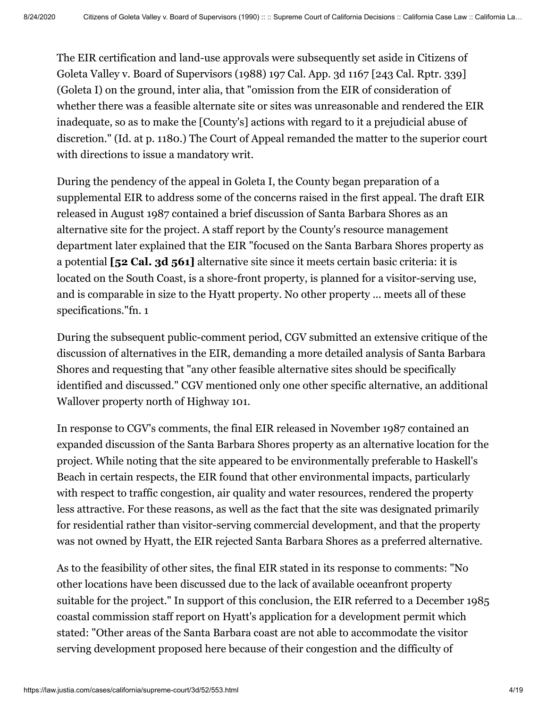The EIR certification and land-use approvals were subsequently set aside in Citizens of Goleta Valley v. Board of Supervisors (1988) [197 Cal. App. 3d 1167](https://law.justia.com/cases/california/court-of-appeal/3d/197/1167.html) [[243 Cal. Rptr. 339\]](https://law.justia.com/cases/california/court-of-appeal/3d/197/1167.html) (Goleta I) on the ground, inter alia, that "omission from the EIR of consideration of whether there was a feasible alternate site or sites was unreasonable and rendered the EIR inadequate, so as to make the [County's] actions with regard to it a prejudicial abuse of discretion." (Id. at p. 1180.) The Court of Appeal remanded the matter to the superior court with directions to issue a mandatory writ.

During the pendency of the appeal in Goleta I, the County began preparation of a supplemental EIR to address some of the concerns raised in the first appeal. The draft EIR released in August 1987 contained a brief discussion of Santa Barbara Shores as an alternative site for the project. A staff report by the County's resource management department later explained that the EIR "focused on the Santa Barbara Shores property as a potential **[52 Cal. 3d 561]** alternative site since it meets certain basic criteria: it is located on the South Coast, is a shore-front property, is planned for a visitor-serving use, and is comparable in size to the Hyatt property. No other property ... meets all of these specifications."fn. 1

During the subsequent public-comment period, CGV submitted an extensive critique of the discussion of alternatives in the EIR, demanding a more detailed analysis of Santa Barbara Shores and requesting that "any other feasible alternative sites should be specifically identified and discussed." CGV mentioned only one other specific alternative, an additional Wallover property north of Highway 101.

In response to CGV's comments, the final EIR released in November 1987 contained an expanded discussion of the Santa Barbara Shores property as an alternative location for the project. While noting that the site appeared to be environmentally preferable to Haskell's Beach in certain respects, the EIR found that other environmental impacts, particularly with respect to traffic congestion, air quality and water resources, rendered the property less attractive. For these reasons, as well as the fact that the site was designated primarily for residential rather than visitor-serving commercial development, and that the property was not owned by Hyatt, the EIR rejected Santa Barbara Shores as a preferred alternative.

As to the feasibility of other sites, the final EIR stated in its response to comments: "No other locations have been discussed due to the lack of available oceanfront property suitable for the project." In support of this conclusion, the EIR referred to a December 1985 coastal commission staff report on Hyatt's application for a development permit which stated: "Other areas of the Santa Barbara coast are not able to accommodate the visitor serving development proposed here because of their congestion and the difficulty of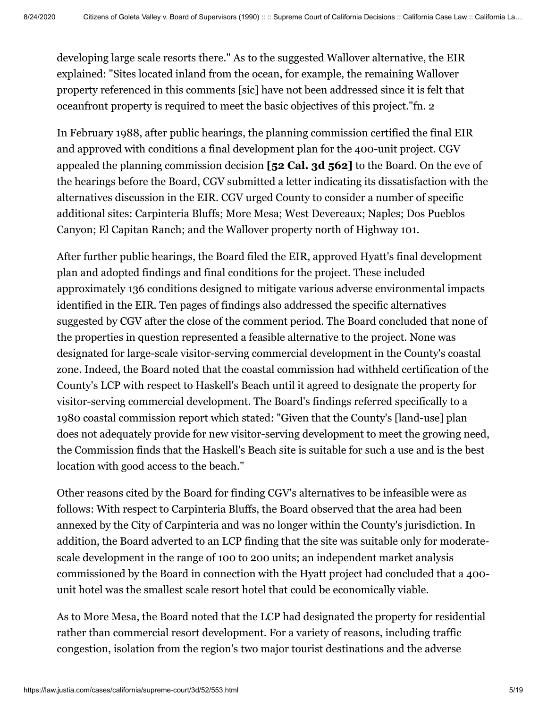developing large scale resorts there." As to the suggested Wallover alternative, the EIR explained: "Sites located inland from the ocean, for example, the remaining Wallover property referenced in this comments [sic] have not been addressed since it is felt that oceanfront property is required to meet the basic objectives of this project."fn. 2

In February 1988, after public hearings, the planning commission certified the final EIR and approved with conditions a final development plan for the 400-unit project. CGV appealed the planning commission decision **[52 Cal. 3d 562]** to the Board. On the eve of the hearings before the Board, CGV submitted a letter indicating its dissatisfaction with the alternatives discussion in the EIR. CGV urged County to consider a number of specific additional sites: Carpinteria Bluffs; More Mesa; West Devereaux; Naples; Dos Pueblos Canyon; El Capitan Ranch; and the Wallover property north of Highway 101.

After further public hearings, the Board filed the EIR, approved Hyatt's final development plan and adopted findings and final conditions for the project. These included approximately 136 conditions designed to mitigate various adverse environmental impacts identified in the EIR. Ten pages of findings also addressed the specific alternatives suggested by CGV after the close of the comment period. The Board concluded that none of the properties in question represented a feasible alternative to the project. None was designated for large-scale visitor-serving commercial development in the County's coastal zone. Indeed, the Board noted that the coastal commission had withheld certification of the County's LCP with respect to Haskell's Beach until it agreed to designate the property for visitor-serving commercial development. The Board's findings referred specifically to a 1980 coastal commission report which stated: "Given that the County's [land-use] plan does not adequately provide for new visitor-serving development to meet the growing need, the Commission finds that the Haskell's Beach site is suitable for such a use and is the best location with good access to the beach."

Other reasons cited by the Board for finding CGV's alternatives to be infeasible were as follows: With respect to Carpinteria Bluffs, the Board observed that the area had been annexed by the City of Carpinteria and was no longer within the County's jurisdiction. In addition, the Board adverted to an LCP finding that the site was suitable only for moderatescale development in the range of 100 to 200 units; an independent market analysis commissioned by the Board in connection with the Hyatt project had concluded that a 400 unit hotel was the smallest scale resort hotel that could be economically viable.

As to More Mesa, the Board noted that the LCP had designated the property for residential rather than commercial resort development. For a variety of reasons, including traffic congestion, isolation from the region's two major tourist destinations and the adverse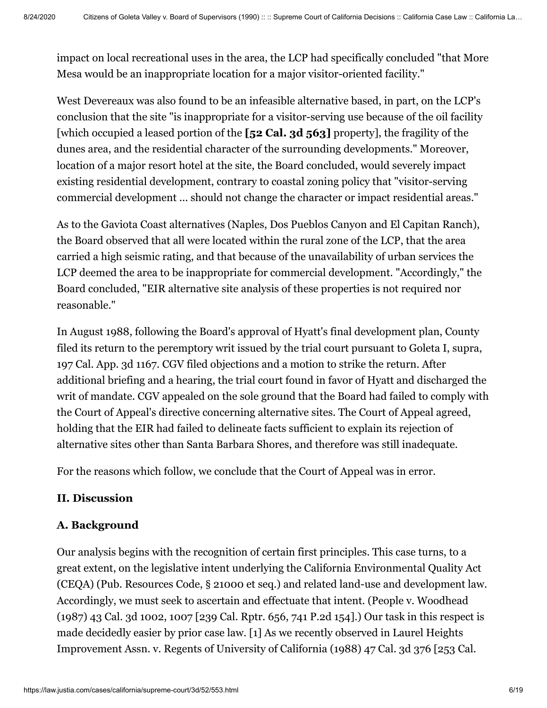impact on local recreational uses in the area, the LCP had specifically concluded "that More Mesa would be an inappropriate location for a major visitor-oriented facility."

West Devereaux was also found to be an infeasible alternative based, in part, on the LCP's conclusion that the site "is inappropriate for a visitor-serving use because of the oil facility [which occupied a leased portion of the **[52 Cal. 3d 563]** property], the fragility of the dunes area, and the residential character of the surrounding developments." Moreover, location of a major resort hotel at the site, the Board concluded, would severely impact existing residential development, contrary to coastal zoning policy that "visitor-serving commercial development ... should not change the character or impact residential areas."

As to the Gaviota Coast alternatives (Naples, Dos Pueblos Canyon and El Capitan Ranch), the Board observed that all were located within the rural zone of the LCP, that the area carried a high seismic rating, and that because of the unavailability of urban services the LCP deemed the area to be inappropriate for commercial development. "Accordingly," the Board concluded, "EIR alternative site analysis of these properties is not required nor reasonable."

In August 1988, following the Board's approval of Hyatt's final development plan, County filed its return to the peremptory writ issued by the trial court pursuant to Goleta I, supra, [197 Cal. App. 3d 1167](https://law.justia.com/cases/california/court-of-appeal/3d/197/1167.html). CGV filed objections and a motion to strike the return. After additional briefing and a hearing, the trial court found in favor of Hyatt and discharged the writ of mandate. CGV appealed on the sole ground that the Board had failed to comply with the Court of Appeal's directive concerning alternative sites. The Court of Appeal agreed, holding that the EIR had failed to delineate facts sufficient to explain its rejection of alternative sites other than Santa Barbara Shores, and therefore was still inadequate.

For the reasons which follow, we conclude that the Court of Appeal was in error.

# **II. Discussion**

# **A. Background**

Our analysis begins with the recognition of certain first principles. This case turns, to a great extent, on the legislative intent underlying the California Environmental Quality Act (CEQA) (Pub. Resources Code, § 21000 et seq.) and related land-use and development law. Accordingly, we must seek to ascertain and effectuate that intent. (People v. Woodhead (1987) [43 Cal. 3d 1002,](https://law.justia.com/cases/california/supreme-court/3d/43/1002.html) 1007 [[239 Cal. Rptr. 656](https://law.justia.com/cases/california/supreme-court/3d/43/1002.html), [741 P.2d 154](https://law.justia.com/cases/california/supreme-court/3d/43/1002.html)].) Our task in this respect is made decidedly easier by prior case law. [1] As we recently observed in Laurel Heights [Improvement Assn. v. Regents of University of California \(1988\) 47 Cal. 3d 376 \[253 Cal.](https://law.justia.com/cases/california/supreme-court/3d/47/376.html)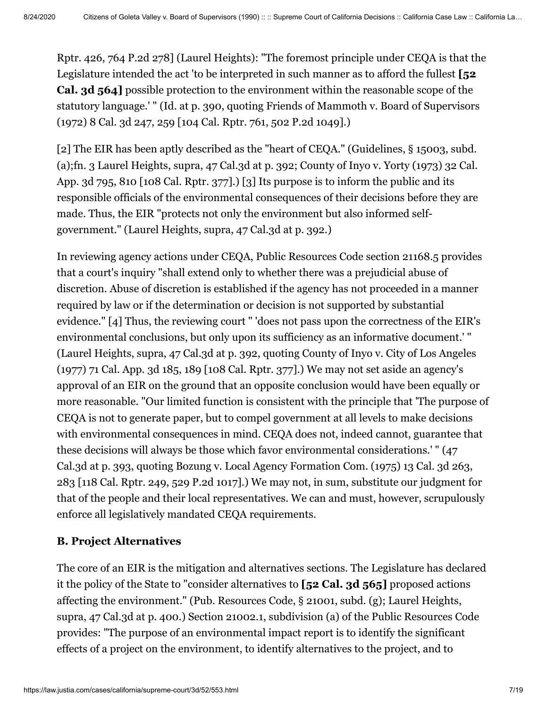[Rptr. 426, 764 P.2d 278\] \(Laurel Heights\): "The foremost principle under CEQA is that th](https://law.justia.com/cases/california/supreme-court/3d/47/376.html)e Legislature intended the act 'to be interpreted in such manner as to afford the fullest **[52 Cal. 3d 564]** possible protection to the environment within the reasonable scope of the statutory language.' " (Id. at p. 390, quoting Friends of Mammoth v. Board of Supervisors (1972) [8 Cal. 3d 247](https://law.justia.com/cases/california/supreme-court/3d/8/247.html), 259 [104 Cal. Rptr. 761, 502 P.2d 1049].)

[2] The EIR has been aptly described as the "heart of CEQA." (Guidelines, § 15003, subd. [\(a\);fn. 3 Laurel Heights, supra, 47 Cal.3d at p. 392; County of Inyo v. Yorty \(1973\) 32 Cal.](https://law.justia.com/cases/california/court-of-appeal/3d/32/795.html) App. 3d 795, 810 [108 Cal. Rptr. 377].) [3] Its purpose is to inform the public and its responsible officials of the environmental consequences of their decisions before they are made. Thus, the EIR "protects not only the environment but also informed selfgovernment." (Laurel Heights, supra, 47 Cal.3d at p. 392.)

In reviewing agency actions under CEQA, Public Resources Code section 21168.5 provides that a court's inquiry "shall extend only to whether there was a prejudicial abuse of discretion. Abuse of discretion is established if the agency has not proceeded in a manner required by law or if the determination or decision is not supported by substantial evidence." [4] Thus, the reviewing court " 'does not pass upon the correctness of the EIR's environmental conclusions, but only upon its sufficiency as an informative document.' " (Laurel Heights, supra, 47 Cal.3d at p. 392, quoting County of Inyo v. City of Los Angeles (1977) [71 Cal. App. 3d 185,](https://law.justia.com/cases/california/court-of-appeal/3d/71/185.html) 189 [108 Cal. Rptr. 377].) We may not set aside an agency's approval of an EIR on the ground that an opposite conclusion would have been equally or more reasonable. "Our limited function is consistent with the principle that 'The purpose of CEQA is not to generate paper, but to compel government at all levels to make decisions with environmental consequences in mind. CEQA does not, indeed cannot, guarantee that these decisions will always be those which favor environmental considerations.' " (47 Cal.3d at p. 393, quoting Bozung v. Local Agency Formation Com. (1975) [13 Cal. 3d 263](https://law.justia.com/cases/california/supreme-court/3d/13/263.html), 283 [118 Cal. Rptr. 249, 529 P.2d 1017].) We may not, in sum, substitute our judgment for that of the people and their local representatives. We can and must, however, scrupulously enforce all legislatively mandated CEQA requirements.

#### **B. Project Alternatives**

The core of an EIR is the mitigation and alternatives sections. The Legislature has declared it the policy of the State to "consider alternatives to **[52 Cal. 3d 565]** proposed actions affecting the environment." (Pub. Resources Code, § 21001, subd. (g); Laurel Heights, supra, 47 Cal.3d at p. 400.) Section 21002.1, subdivision (a) of the Public Resources Code provides: "The purpose of an environmental impact report is to identify the significant effects of a project on the environment, to identify alternatives to the project, and to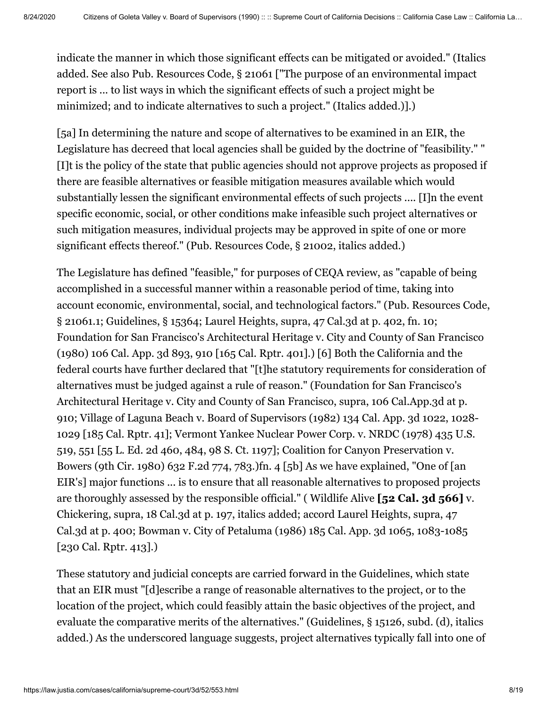indicate the manner in which those significant effects can be mitigated or avoided." (Italics added. See also Pub. Resources Code, § 21061 ["The purpose of an environmental impact report is ... to list ways in which the significant effects of such a project might be minimized; and to indicate alternatives to such a project." (Italics added.)].)

[5a] In determining the nature and scope of alternatives to be examined in an EIR, the Legislature has decreed that local agencies shall be guided by the doctrine of "feasibility." " [I]t is the policy of the state that public agencies should not approve projects as proposed if there are feasible alternatives or feasible mitigation measures available which would substantially lessen the significant environmental effects of such projects .... [I]n the event specific economic, social, or other conditions make infeasible such project alternatives or such mitigation measures, individual projects may be approved in spite of one or more significant effects thereof." (Pub. Resources Code, § 21002, italics added.)

The Legislature has defined "feasible," for purposes of CEQA review, as "capable of being accomplished in a successful manner within a reasonable period of time, taking into account economic, environmental, social, and technological factors." (Pub. Resources Code, § 21061.1; Guidelines, § 15364; Laurel Heights, supra, 47 Cal.3d at p. 402, fn. 10; Foundation for San Francisco's Architectural Heritage v. City and County of San Francisco (1980) [106 Cal. App. 3d 893](https://law.justia.com/cases/california/court-of-appeal/3d/106/893.html), 910 [\[165 Cal. Rptr. 401\]](https://law.justia.com/cases/california/court-of-appeal/3d/106/893.html).) [6] Both the California and the federal courts have further declared that "[t]he statutory requirements for consideration of alternatives must be judged against a rule of reason." (Foundation for San Francisco's Architectural Heritage v. City and County of San Francisco, supra, 106 Cal.App.3d at p. 910; Village of Laguna Beach v. Board of Supervisors (1982) [134 Cal. App. 3d 1022,](https://law.justia.com/cases/california/court-of-appeal/3d/134/1022.html) 1028- [1029 \[185 Cal. Rptr. 41\]; Vermont Yankee Nuclear Power Corp. v. NRDC \(1978\) 435 U.S.](https://supreme.justia.com/cases/federal/us/435/519/) 519, 551 [55 L. Ed. 2d 460, 484, 98 S. Ct. 1197]; Coalition for Canyon Preservation v. Bowers (9th Cir. 1980) 632 F.2d 774, 783.)fn. 4 [5b] As we have explained, "One of [an EIR's] major functions ... is to ensure that all reasonable alternatives to proposed projects are thoroughly assessed by the responsible official." ( Wildlife Alive **[52 Cal. 3d 566]** v. Chickering, supra, 18 Cal.3d at p. 197, italics added; accord Laurel Heights, supra, 47 Cal.3d at p. 400; Bowman v. City of Petaluma (1986) [185 Cal. App. 3d 1065,](https://law.justia.com/cases/california/court-of-appeal/3d/185/1065.html) 1083-1085 [\[230 Cal. Rptr. 413\]](https://law.justia.com/cases/california/court-of-appeal/3d/185/1065.html).)

These statutory and judicial concepts are carried forward in the Guidelines, which state that an EIR must "[d]escribe a range of reasonable alternatives to the project, or to the location of the project, which could feasibly attain the basic objectives of the project, and evaluate the comparative merits of the alternatives." (Guidelines, § 15126, subd. (d), italics added.) As the underscored language suggests, project alternatives typically fall into one of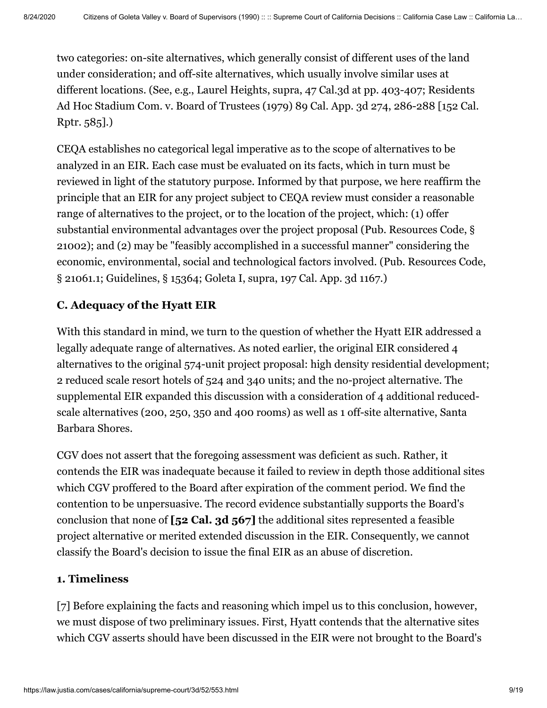two categories: on-site alternatives, which generally consist of different uses of the land under consideration; and off-site alternatives, which usually involve similar uses at different locations. (See, e.g., Laurel Heights, supra, 47 Cal.3d at pp. 403-407; Residents Ad Hoc Stadium Com. v. Board of Trustees (1979) [89 Cal. App. 3d 274,](https://law.justia.com/cases/california/court-of-appeal/3d/89/274.html) 286-288 [152 Cal. Rptr. 585].)

CEQA establishes no categorical legal imperative as to the scope of alternatives to be analyzed in an EIR. Each case must be evaluated on its facts, which in turn must be reviewed in light of the statutory purpose. Informed by that purpose, we here reaffirm the principle that an EIR for any project subject to CEQA review must consider a reasonable range of alternatives to the project, or to the location of the project, which: (1) offer substantial environmental advantages over the project proposal (Pub. Resources Code, § 21002); and (2) may be "feasibly accomplished in a successful manner" considering the economic, environmental, social and technological factors involved. (Pub. Resources Code, § 21061.1; Guidelines, § 15364; Goleta I, supra, [197 Cal. App. 3d 1167.](https://law.justia.com/cases/california/court-of-appeal/3d/197/1167.html))

# **C. Adequacy of the Hyatt EIR**

With this standard in mind, we turn to the question of whether the Hyatt EIR addressed a legally adequate range of alternatives. As noted earlier, the original EIR considered 4 alternatives to the original 574-unit project proposal: high density residential development; 2 reduced scale resort hotels of 524 and 340 units; and the no-project alternative. The supplemental EIR expanded this discussion with a consideration of 4 additional reducedscale alternatives (200, 250, 350 and 400 rooms) as well as 1 off-site alternative, Santa Barbara Shores.

CGV does not assert that the foregoing assessment was deficient as such. Rather, it contends the EIR was inadequate because it failed to review in depth those additional sites which CGV proffered to the Board after expiration of the comment period. We find the contention to be unpersuasive. The record evidence substantially supports the Board's conclusion that none of **[52 Cal. 3d 567]** the additional sites represented a feasible project alternative or merited extended discussion in the EIR. Consequently, we cannot classify the Board's decision to issue the final EIR as an abuse of discretion.

# **1. Timeliness**

[7] Before explaining the facts and reasoning which impel us to this conclusion, however, we must dispose of two preliminary issues. First, Hyatt contends that the alternative sites which CGV asserts should have been discussed in the EIR were not brought to the Board's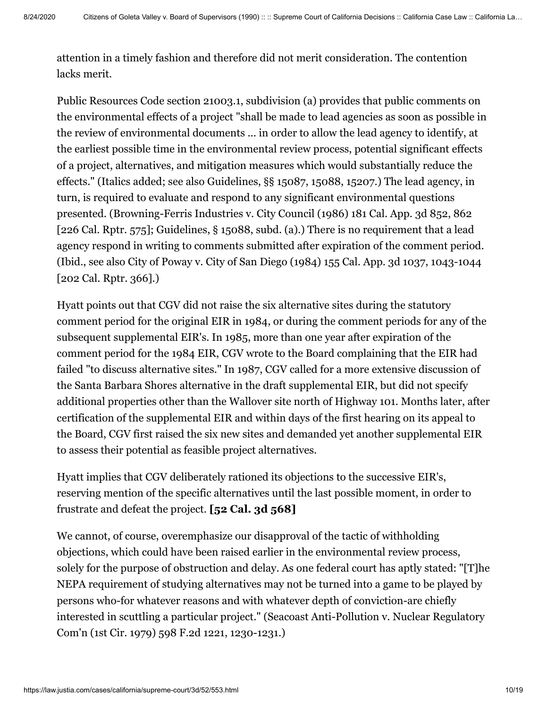attention in a timely fashion and therefore did not merit consideration. The contention lacks merit.

Public Resources Code section 21003.1, subdivision (a) provides that public comments on the environmental effects of a project "shall be made to lead agencies as soon as possible in the review of environmental documents ... in order to allow the lead agency to identify, at the earliest possible time in the environmental review process, potential significant effects of a project, alternatives, and mitigation measures which would substantially reduce the effects." (Italics added; see also Guidelines, §§ 15087, 15088, 15207.) The lead agency, in turn, is required to evaluate and respond to any significant environmental questions presented. (Browning-Ferris Industries v. City Council (1986) [181 Cal. App. 3d 852](https://law.justia.com/cases/california/court-of-appeal/3d/181/852.html), 862 [\[226 Cal. Rptr. 575](https://law.justia.com/cases/california/court-of-appeal/3d/181/852.html)]; Guidelines, § 15088, subd. (a).) There is no requirement that a lead agency respond in writing to comments submitted after expiration of the comment period. (Ibid., see also City of Poway v. City of San Diego (1984) [155 Cal. App. 3d 1037](https://law.justia.com/cases/california/court-of-appeal/3d/155/1037.html), 1043-1044 [\[202 Cal. Rptr. 366\]](https://law.justia.com/cases/california/court-of-appeal/3d/155/1037.html).)

Hyatt points out that CGV did not raise the six alternative sites during the statutory comment period for the original EIR in 1984, or during the comment periods for any of the subsequent supplemental EIR's. In 1985, more than one year after expiration of the comment period for the 1984 EIR, CGV wrote to the Board complaining that the EIR had failed "to discuss alternative sites." In 1987, CGV called for a more extensive discussion of the Santa Barbara Shores alternative in the draft supplemental EIR, but did not specify additional properties other than the Wallover site north of Highway 101. Months later, after certification of the supplemental EIR and within days of the first hearing on its appeal to the Board, CGV first raised the six new sites and demanded yet another supplemental EIR to assess their potential as feasible project alternatives.

Hyatt implies that CGV deliberately rationed its objections to the successive EIR's, reserving mention of the specific alternatives until the last possible moment, in order to frustrate and defeat the project. **[52 Cal. 3d 568]**

We cannot, of course, overemphasize our disapproval of the tactic of withholding objections, which could have been raised earlier in the environmental review process, solely for the purpose of obstruction and delay. As one federal court has aptly stated: "[T]he NEPA requirement of studying alternatives may not be turned into a game to be played by persons who-for whatever reasons and with whatever depth of conviction-are chiefly interested in scuttling a particular project." (Seacoast Anti-Pollution v. Nuclear Regulatory Com'n (1st Cir. 1979) 598 F.2d 1221, 1230-1231.)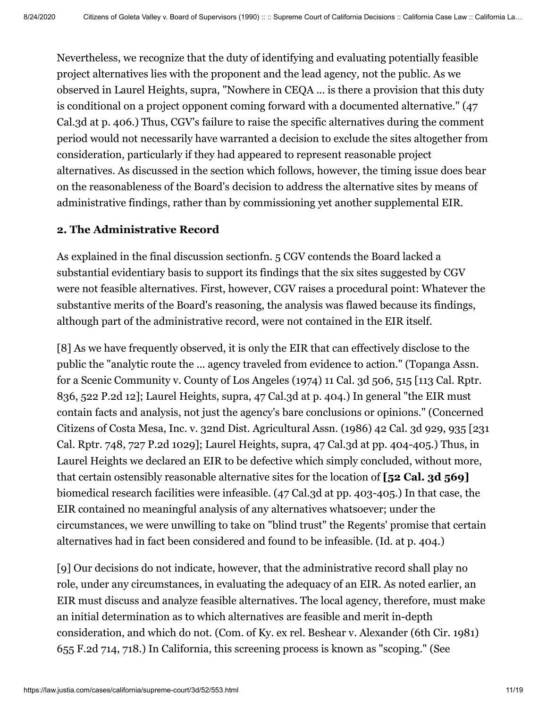Nevertheless, we recognize that the duty of identifying and evaluating potentially feasible project alternatives lies with the proponent and the lead agency, not the public. As we observed in Laurel Heights, supra, "Nowhere in CEQA ... is there a provision that this duty is conditional on a project opponent coming forward with a documented alternative." (47 Cal.3d at p. 406.) Thus, CGV's failure to raise the specific alternatives during the comment period would not necessarily have warranted a decision to exclude the sites altogether from consideration, particularly if they had appeared to represent reasonable project alternatives. As discussed in the section which follows, however, the timing issue does bear on the reasonableness of the Board's decision to address the alternative sites by means of administrative findings, rather than by commissioning yet another supplemental EIR.

# **2. The Administrative Record**

As explained in the final discussion sectionfn. 5 CGV contends the Board lacked a substantial evidentiary basis to support its findings that the six sites suggested by CGV were not feasible alternatives. First, however, CGV raises a procedural point: Whatever the substantive merits of the Board's reasoning, the analysis was flawed because its findings, although part of the administrative record, were not contained in the EIR itself.

[8] As we have frequently observed, it is only the EIR that can effectively disclose to the public the "analytic route the ... agency traveled from evidence to action." (Topanga Assn. for a Scenic Community v. County of Los Angeles (1974) [11 Cal. 3d 506](https://law.justia.com/cases/california/supreme-court/3d/11/506.html), 515 [113 Cal. Rptr. 836, 522 P.2d 12]; Laurel Heights, supra, 47 Cal.3d at p. 404.) In general "the EIR must contain facts and analysis, not just the agency's bare conclusions or opinions." (Concerned [Citizens of Costa Mesa, Inc. v. 32nd Dist. Agricultural Assn. \(1986\) 42 Cal. 3d 929, 935 \[231](https://law.justia.com/cases/california/supreme-court/3d/42/929.html) Cal. Rptr. 748, [727 P.2d 1029](https://law.justia.com/cases/california/supreme-court/3d/42/929.html)]; Laurel Heights, supra, 47 Cal.3d at pp. 404-405.) Thus, in Laurel Heights we declared an EIR to be defective which simply concluded, without more, that certain ostensibly reasonable alternative sites for the location of **[52 Cal. 3d 569]** biomedical research facilities were infeasible. (47 Cal.3d at pp. 403-405.) In that case, the EIR contained no meaningful analysis of any alternatives whatsoever; under the circumstances, we were unwilling to take on "blind trust" the Regents' promise that certain alternatives had in fact been considered and found to be infeasible. (Id. at p. 404.)

[9] Our decisions do not indicate, however, that the administrative record shall play no role, under any circumstances, in evaluating the adequacy of an EIR. As noted earlier, an EIR must discuss and analyze feasible alternatives. The local agency, therefore, must make an initial determination as to which alternatives are feasible and merit in-depth consideration, and which do not. (Com. of Ky. ex rel. Beshear v. Alexander (6th Cir. 1981) 655 F.2d 714, 718.) In California, this screening process is known as "scoping." (See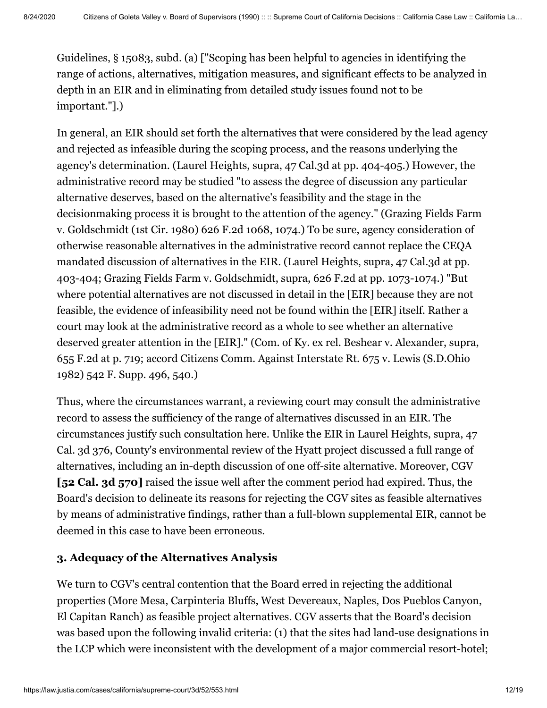Guidelines, § 15083, subd. (a) ["Scoping has been helpful to agencies in identifying the range of actions, alternatives, mitigation measures, and significant effects to be analyzed in depth in an EIR and in eliminating from detailed study issues found not to be important."].)

In general, an EIR should set forth the alternatives that were considered by the lead agency and rejected as infeasible during the scoping process, and the reasons underlying the agency's determination. (Laurel Heights, supra, 47 Cal.3d at pp. 404-405.) However, the administrative record may be studied "to assess the degree of discussion any particular alternative deserves, based on the alternative's feasibility and the stage in the decisionmaking process it is brought to the attention of the agency." (Grazing Fields Farm v. Goldschmidt (1st Cir. 1980) 626 F.2d 1068, 1074.) To be sure, agency consideration of otherwise reasonable alternatives in the administrative record cannot replace the CEQA mandated discussion of alternatives in the EIR. (Laurel Heights, supra, 47 Cal.3d at pp. 403-404; Grazing Fields Farm v. Goldschmidt, supra, 626 F.2d at pp. 1073-1074.) "But where potential alternatives are not discussed in detail in the [EIR] because they are not feasible, the evidence of infeasibility need not be found within the [EIR] itself. Rather a court may look at the administrative record as a whole to see whether an alternative deserved greater attention in the [EIR]." (Com. of Ky. ex rel. Beshear v. Alexander, supra, 655 F.2d at p. 719; accord Citizens Comm. Against Interstate Rt. 675 v. Lewis (S.D.Ohio 1982) [542 F. Supp. 496,](https://law.justia.com/cases/federal/district-courts/FSupp/542/496/2284730/) 540.)

Thus, where the circumstances warrant, a reviewing court may consult the administrative record to assess the sufficiency of the range of alternatives discussed in an EIR. The [circumstances justify such consultation here. Unlike the EIR in Laurel Heights, supra, 47](https://law.justia.com/cases/california/supreme-court/3d/47/376.html) Cal. 3d 376, County's environmental review of the Hyatt project discussed a full range of alternatives, including an in-depth discussion of one off-site alternative. Moreover, CGV **[52 Cal. 3d 570]** raised the issue well after the comment period had expired. Thus, the Board's decision to delineate its reasons for rejecting the CGV sites as feasible alternatives by means of administrative findings, rather than a full-blown supplemental EIR, cannot be deemed in this case to have been erroneous.

# **3. Adequacy of the Alternatives Analysis**

We turn to CGV's central contention that the Board erred in rejecting the additional properties (More Mesa, Carpinteria Bluffs, West Devereaux, Naples, Dos Pueblos Canyon, El Capitan Ranch) as feasible project alternatives. CGV asserts that the Board's decision was based upon the following invalid criteria: (1) that the sites had land-use designations in the LCP which were inconsistent with the development of a major commercial resort-hotel;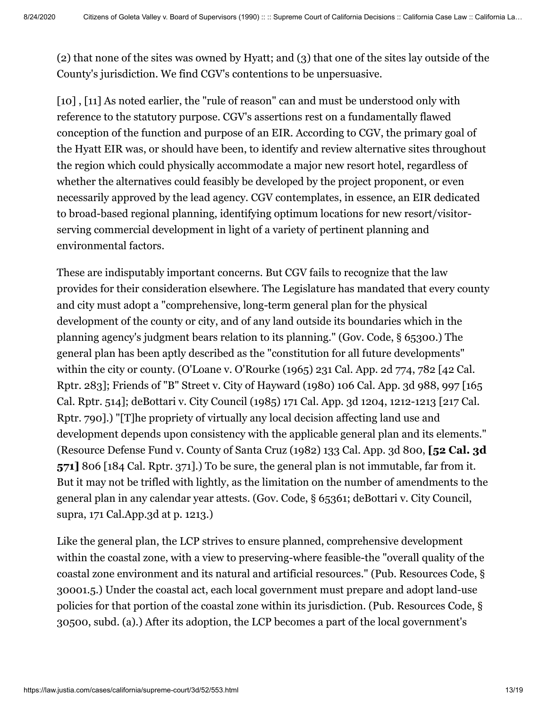(2) that none of the sites was owned by Hyatt; and (3) that one of the sites lay outside of the County's jurisdiction. We find CGV's contentions to be unpersuasive.

[10], [11] As noted earlier, the "rule of reason" can and must be understood only with reference to the statutory purpose. CGV's assertions rest on a fundamentally flawed conception of the function and purpose of an EIR. According to CGV, the primary goal of the Hyatt EIR was, or should have been, to identify and review alternative sites throughout the region which could physically accommodate a major new resort hotel, regardless of whether the alternatives could feasibly be developed by the project proponent, or even necessarily approved by the lead agency. CGV contemplates, in essence, an EIR dedicated to broad-based regional planning, identifying optimum locations for new resort/visitorserving commercial development in light of a variety of pertinent planning and environmental factors.

These are indisputably important concerns. But CGV fails to recognize that the law provides for their consideration elsewhere. The Legislature has mandated that every county and city must adopt a "comprehensive, long-term general plan for the physical development of the county or city, and of any land outside its boundaries which in the planning agency's judgment bears relation to its planning." (Gov. Code, § 65300.) The general plan has been aptly described as the "constitution for all future developments" within the city or county. (O'Loane v. O'Rourke (1965) [231 Cal. App. 2d 774](https://law.justia.com/cases/california/court-of-appeal/2d/231/774.html), 782 [42 Cal. [Rptr. 283\]; Friends of "B" Street v. City of Hayward \(1980\) 106 Cal. App. 3d 988, 997 \[165](https://law.justia.com/cases/california/court-of-appeal/3d/106/988.html) [Cal. Rptr. 514\]; deBottari v. City Council \(1985\) 171 Cal. App. 3d 1204, 1212-1213 \[217 Cal.](https://law.justia.com/cases/california/court-of-appeal/3d/171/1204.html) Rptr. 790].) "[T]he propriety of virtually any local decision affecting land use and development depends upon consistency with the applicable general plan and its elements." (Resource Defense Fund v. County of Santa Cruz (1982) [133 Cal. App. 3d 800](https://law.justia.com/cases/california/court-of-appeal/3d/133/800.html), **[52 Cal. 3d 571]** 806 [[184 Cal. Rptr. 371\]](https://law.justia.com/cases/california/court-of-appeal/3d/133/800.html).) To be sure, the general plan is not immutable, far from it. But it may not be trifled with lightly, as the limitation on the number of amendments to the general plan in any calendar year attests. (Gov. Code, § 65361; deBottari v. City Council, supra, 171 Cal.App.3d at p. 1213.)

Like the general plan, the LCP strives to ensure planned, comprehensive development within the coastal zone, with a view to preserving-where feasible-the "overall quality of the coastal zone environment and its natural and artificial resources." (Pub. Resources Code, § 30001.5.) Under the coastal act, each local government must prepare and adopt land-use policies for that portion of the coastal zone within its jurisdiction. (Pub. Resources Code, § 30500, subd. (a).) After its adoption, the LCP becomes a part of the local government's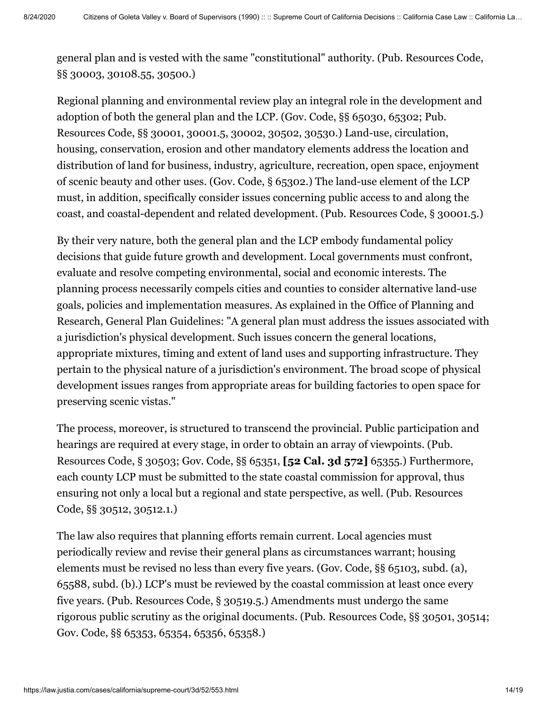general plan and is vested with the same "constitutional" authority. (Pub. Resources Code, §§ 30003, 30108.55, 30500.)

Regional planning and environmental review play an integral role in the development and adoption of both the general plan and the LCP. (Gov. Code, §§ 65030, 65302; Pub. Resources Code, §§ 30001, 30001.5, 30002, 30502, 30530.) Land-use, circulation, housing, conservation, erosion and other mandatory elements address the location and distribution of land for business, industry, agriculture, recreation, open space, enjoyment of scenic beauty and other uses. (Gov. Code, § 65302.) The land-use element of the LCP must, in addition, specifically consider issues concerning public access to and along the coast, and coastal-dependent and related development. (Pub. Resources Code, § 30001.5.)

By their very nature, both the general plan and the LCP embody fundamental policy decisions that guide future growth and development. Local governments must confront, evaluate and resolve competing environmental, social and economic interests. The planning process necessarily compels cities and counties to consider alternative land-use goals, policies and implementation measures. As explained in the Office of Planning and Research, General Plan Guidelines: "A general plan must address the issues associated with a jurisdiction's physical development. Such issues concern the general locations, appropriate mixtures, timing and extent of land uses and supporting infrastructure. They pertain to the physical nature of a jurisdiction's environment. The broad scope of physical development issues ranges from appropriate areas for building factories to open space for preserving scenic vistas."

The process, moreover, is structured to transcend the provincial. Public participation and hearings are required at every stage, in order to obtain an array of viewpoints. (Pub. Resources Code, § 30503; Gov. Code, §§ 65351, **[52 Cal. 3d 572]** 65355.) Furthermore, each county LCP must be submitted to the state coastal commission for approval, thus ensuring not only a local but a regional and state perspective, as well. (Pub. Resources Code, §§ 30512, 30512.1.)

The law also requires that planning efforts remain current. Local agencies must periodically review and revise their general plans as circumstances warrant; housing elements must be revised no less than every five years. (Gov. Code, §§ 65103, subd. (a), 65588, subd. (b).) LCP's must be reviewed by the coastal commission at least once every five years. (Pub. Resources Code, § 30519.5.) Amendments must undergo the same rigorous public scrutiny as the original documents. (Pub. Resources Code, §§ 30501, 30514; Gov. Code, §§ 65353, 65354, 65356, 65358.)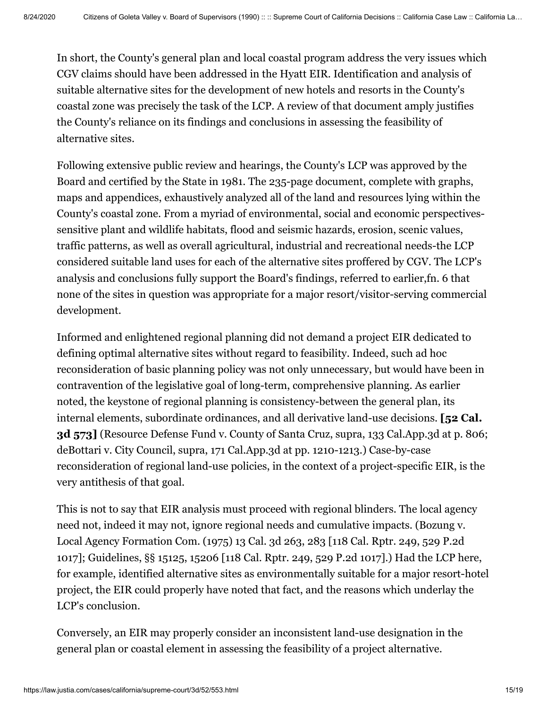In short, the County's general plan and local coastal program address the very issues which CGV claims should have been addressed in the Hyatt EIR. Identification and analysis of suitable alternative sites for the development of new hotels and resorts in the County's coastal zone was precisely the task of the LCP. A review of that document amply justifies the County's reliance on its findings and conclusions in assessing the feasibility of alternative sites.

Following extensive public review and hearings, the County's LCP was approved by the Board and certified by the State in 1981. The 235-page document, complete with graphs, maps and appendices, exhaustively analyzed all of the land and resources lying within the County's coastal zone. From a myriad of environmental, social and economic perspectivessensitive plant and wildlife habitats, flood and seismic hazards, erosion, scenic values, traffic patterns, as well as overall agricultural, industrial and recreational needs-the LCP considered suitable land uses for each of the alternative sites proffered by CGV. The LCP's analysis and conclusions fully support the Board's findings, referred to earlier,fn. 6 that none of the sites in question was appropriate for a major resort/visitor-serving commercial development.

Informed and enlightened regional planning did not demand a project EIR dedicated to defining optimal alternative sites without regard to feasibility. Indeed, such ad hoc reconsideration of basic planning policy was not only unnecessary, but would have been in contravention of the legislative goal of long-term, comprehensive planning. As earlier noted, the keystone of regional planning is consistency-between the general plan, its internal elements, subordinate ordinances, and all derivative land-use decisions. **[52 Cal. 3d 573]** (Resource Defense Fund v. County of Santa Cruz, supra, 133 Cal.App.3d at p. 806; deBottari v. City Council, supra, 171 Cal.App.3d at pp. 1210-1213.) Case-by-case reconsideration of regional land-use policies, in the context of a project-specific EIR, is the very antithesis of that goal.

This is not to say that EIR analysis must proceed with regional blinders. The local agency need not, indeed it may not, ignore regional needs and cumulative impacts. (Bozung v. Local Agency Formation Com. (1975) [13 Cal. 3d 263](https://law.justia.com/cases/california/supreme-court/3d/13/263.html), 283 [118 Cal. Rptr. 249, 529 P.2d 1017]; Guidelines, §§ 15125, 15206 [118 Cal. Rptr. 249, 529 P.2d 1017].) Had the LCP here, for example, identified alternative sites as environmentally suitable for a major resort-hotel project, the EIR could properly have noted that fact, and the reasons which underlay the LCP's conclusion.

Conversely, an EIR may properly consider an inconsistent land-use designation in the general plan or coastal element in assessing the feasibility of a project alternative.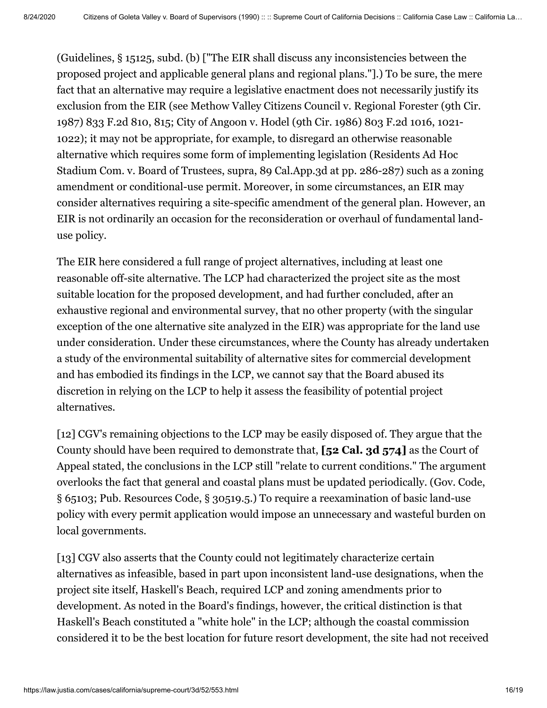(Guidelines, § 15125, subd. (b) ["The EIR shall discuss any inconsistencies between the proposed project and applicable general plans and regional plans."].) To be sure, the mere fact that an alternative may require a legislative enactment does not necessarily justify its exclusion from the EIR (see Methow Valley Citizens Council v. Regional Forester (9th Cir. 1987) 833 F.2d 810, 815; City of Angoon v. Hodel (9th Cir. 1986) 803 F.2d 1016, 1021- 1022); it may not be appropriate, for example, to disregard an otherwise reasonable alternative which requires some form of implementing legislation (Residents Ad Hoc Stadium Com. v. Board of Trustees, supra, 89 Cal.App.3d at pp. 286-287) such as a zoning amendment or conditional-use permit. Moreover, in some circumstances, an EIR may consider alternatives requiring a site-specific amendment of the general plan. However, an EIR is not ordinarily an occasion for the reconsideration or overhaul of fundamental landuse policy.

The EIR here considered a full range of project alternatives, including at least one reasonable off-site alternative. The LCP had characterized the project site as the most suitable location for the proposed development, and had further concluded, after an exhaustive regional and environmental survey, that no other property (with the singular exception of the one alternative site analyzed in the EIR) was appropriate for the land use under consideration. Under these circumstances, where the County has already undertaken a study of the environmental suitability of alternative sites for commercial development and has embodied its findings in the LCP, we cannot say that the Board abused its discretion in relying on the LCP to help it assess the feasibility of potential project alternatives.

[12] CGV's remaining objections to the LCP may be easily disposed of. They argue that the County should have been required to demonstrate that, **[52 Cal. 3d 574]** as the Court of Appeal stated, the conclusions in the LCP still "relate to current conditions." The argument overlooks the fact that general and coastal plans must be updated periodically. (Gov. Code, § 65103; Pub. Resources Code, § 30519.5.) To require a reexamination of basic land-use policy with every permit application would impose an unnecessary and wasteful burden on local governments.

[13] CGV also asserts that the County could not legitimately characterize certain alternatives as infeasible, based in part upon inconsistent land-use designations, when the project site itself, Haskell's Beach, required LCP and zoning amendments prior to development. As noted in the Board's findings, however, the critical distinction is that Haskell's Beach constituted a "white hole" in the LCP; although the coastal commission considered it to be the best location for future resort development, the site had not received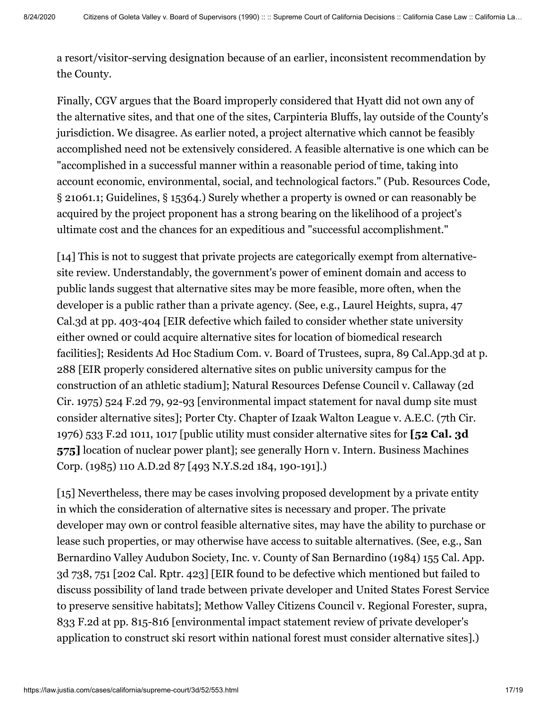a resort/visitor-serving designation because of an earlier, inconsistent recommendation by the County.

Finally, CGV argues that the Board improperly considered that Hyatt did not own any of the alternative sites, and that one of the sites, Carpinteria Bluffs, lay outside of the County's jurisdiction. We disagree. As earlier noted, a project alternative which cannot be feasibly accomplished need not be extensively considered. A feasible alternative is one which can be "accomplished in a successful manner within a reasonable period of time, taking into account economic, environmental, social, and technological factors." (Pub. Resources Code, § 21061.1; Guidelines, § 15364.) Surely whether a property is owned or can reasonably be acquired by the project proponent has a strong bearing on the likelihood of a project's ultimate cost and the chances for an expeditious and "successful accomplishment."

[14] This is not to suggest that private projects are categorically exempt from alternativesite review. Understandably, the government's power of eminent domain and access to public lands suggest that alternative sites may be more feasible, more often, when the developer is a public rather than a private agency. (See, e.g., Laurel Heights, supra, 47 Cal.3d at pp. 403-404 [EIR defective which failed to consider whether state university either owned or could acquire alternative sites for location of biomedical research facilities]; Residents Ad Hoc Stadium Com. v. Board of Trustees, supra, 89 Cal.App.3d at p. 288 [EIR properly considered alternative sites on public university campus for the construction of an athletic stadium]; Natural Resources Defense Council v. Callaway (2d Cir. 1975) 524 F.2d 79, 92-93 [environmental impact statement for naval dump site must consider alternative sites]; Porter Cty. Chapter of Izaak Walton League v. A.E.C. (7th Cir. 1976) 533 F.2d 1011, 1017 [public utility must consider alternative sites for **[52 Cal. 3d 575]** location of nuclear power plant]; see generally Horn v. Intern. Business Machines Corp. (1985) 110 A.D.2d 87 [493 N.Y.S.2d 184, 190-191].)

[15] Nevertheless, there may be cases involving proposed development by a private entity in which the consideration of alternative sites is necessary and proper. The private developer may own or control feasible alternative sites, may have the ability to purchase or lease such properties, or may otherwise have access to suitable alternatives. (See, e.g., San [Bernardino Valley Audubon Society, Inc. v. County of San Bernardino \(1984\) 155 Cal. App.](https://law.justia.com/cases/california/court-of-appeal/3d/155/738.html) 3d 738, 751 [[202 Cal. Rptr. 423\]](https://law.justia.com/cases/california/court-of-appeal/3d/155/738.html) [EIR found to be defective which mentioned but failed to discuss possibility of land trade between private developer and United States Forest Service to preserve sensitive habitats]; Methow Valley Citizens Council v. Regional Forester, supra, 833 F.2d at pp. 815-816 [environmental impact statement review of private developer's application to construct ski resort within national forest must consider alternative sites].)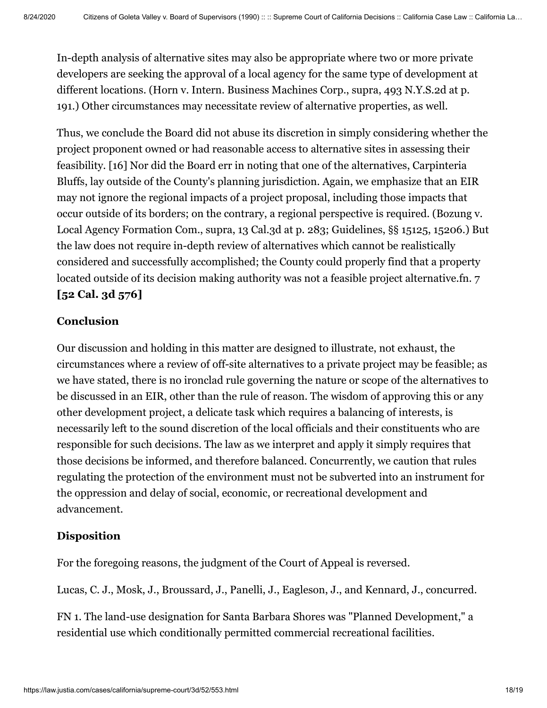In-depth analysis of alternative sites may also be appropriate where two or more private developers are seeking the approval of a local agency for the same type of development at different locations. (Horn v. Intern. Business Machines Corp., supra, 493 N.Y.S.2d at p. 191.) Other circumstances may necessitate review of alternative properties, as well.

Thus, we conclude the Board did not abuse its discretion in simply considering whether the project proponent owned or had reasonable access to alternative sites in assessing their feasibility. [16] Nor did the Board err in noting that one of the alternatives, Carpinteria Bluffs, lay outside of the County's planning jurisdiction. Again, we emphasize that an EIR may not ignore the regional impacts of a project proposal, including those impacts that occur outside of its borders; on the contrary, a regional perspective is required. (Bozung v. Local Agency Formation Com., supra, 13 Cal.3d at p. 283; Guidelines, §§ 15125, 15206.) But the law does not require in-depth review of alternatives which cannot be realistically considered and successfully accomplished; the County could properly find that a property located outside of its decision making authority was not a feasible project alternative.fn. 7 **[52 Cal. 3d 576]**

# **Conclusion**

Our discussion and holding in this matter are designed to illustrate, not exhaust, the circumstances where a review of off-site alternatives to a private project may be feasible; as we have stated, there is no ironclad rule governing the nature or scope of the alternatives to be discussed in an EIR, other than the rule of reason. The wisdom of approving this or any other development project, a delicate task which requires a balancing of interests, is necessarily left to the sound discretion of the local officials and their constituents who are responsible for such decisions. The law as we interpret and apply it simply requires that those decisions be informed, and therefore balanced. Concurrently, we caution that rules regulating the protection of the environment must not be subverted into an instrument for the oppression and delay of social, economic, or recreational development and advancement.

# **Disposition**

For the foregoing reasons, the judgment of the Court of Appeal is reversed.

Lucas, C. J., Mosk, J., Broussard, J., Panelli, J., Eagleson, J., and Kennard, J., concurred.

FN 1. The land-use designation for Santa Barbara Shores was "Planned Development," a residential use which conditionally permitted commercial recreational facilities.